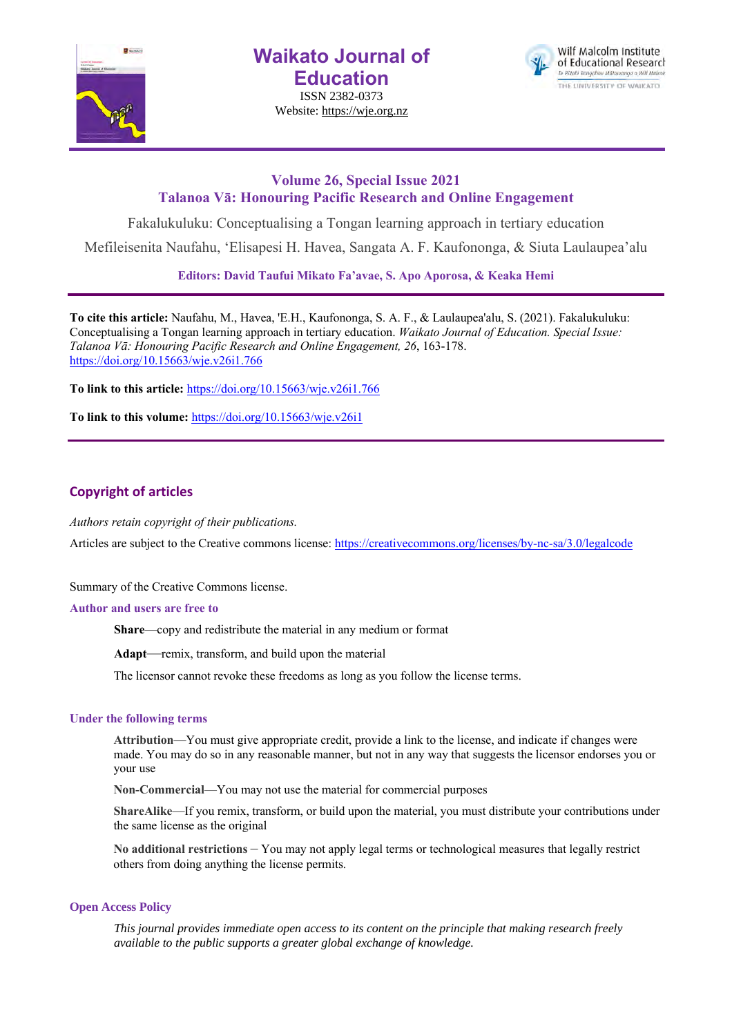

**Waikato Journal of Education**

ISSN 2382-0373 Website: https://wje.org.nz



# **Volume 26, Special Issue 2021 Talanoa Vā: Honouring Pacific Research and Online Engagement**

Fakalukuluku: Conceptualising a Tongan learning approach in tertiary education

Mefileisenita Naufahu, 'Elisapesi H. Havea, Sangata A. F. Kaufononga, & Siuta Laulaupea'alu

**Editors: David Taufui Mikato Fa'avae, S. Apo Aporosa, & Keaka Hemi**

**To cite this article:** Naufahu, M., Havea, 'E.H., Kaufononga, S. A. F., & Laulaupea'alu, S. (2021). Fakalukuluku: Conceptualising a Tongan learning approach in tertiary education. *Waikato Journal of Education. Special Issue: Talanoa Vā: Honouring Pacific Research and Online Engagement, 26*, 163-178. https://doi.org/10.15663/wje.v26i1.766

**To link to this article:** https://doi.org/10.15663/wje.v26i1.766

**To link to this volume:** https://doi.org/10.15663/wje.v26i1

# **Copyright of articles**

*Authors retain copyright of their publications.*

Articles are subject to the Creative commons license: https://creativecommons.org/licenses/by-nc-sa/3.0/legalcode

Summary of the Creative Commons license.

#### **Author and users are free to**

**Share**—copy and redistribute the material in any medium or format

**Adapt**—remix, transform, and build upon the material

The licensor cannot revoke these freedoms as long as you follow the license terms.

#### **Under the following terms**

**Attribution**—You must give appropriate credit, provide a link to the license, and indicate if changes were made. You may do so in any reasonable manner, but not in any way that suggests the licensor endorses you or your use

**Non-Commercial**—You may not use the material for commercial purposes

**ShareAlike**—If you remix, transform, or build upon the material, you must distribute your contributions under the same license as the original

**No additional restrictions** – You may not apply legal terms or technological measures that legally restrict others from doing anything the license permits.

#### **Open Access Policy**

*This journal provides immediate open access to its content on the principle that making research freely available to the public supports a greater global exchange of knowledge.*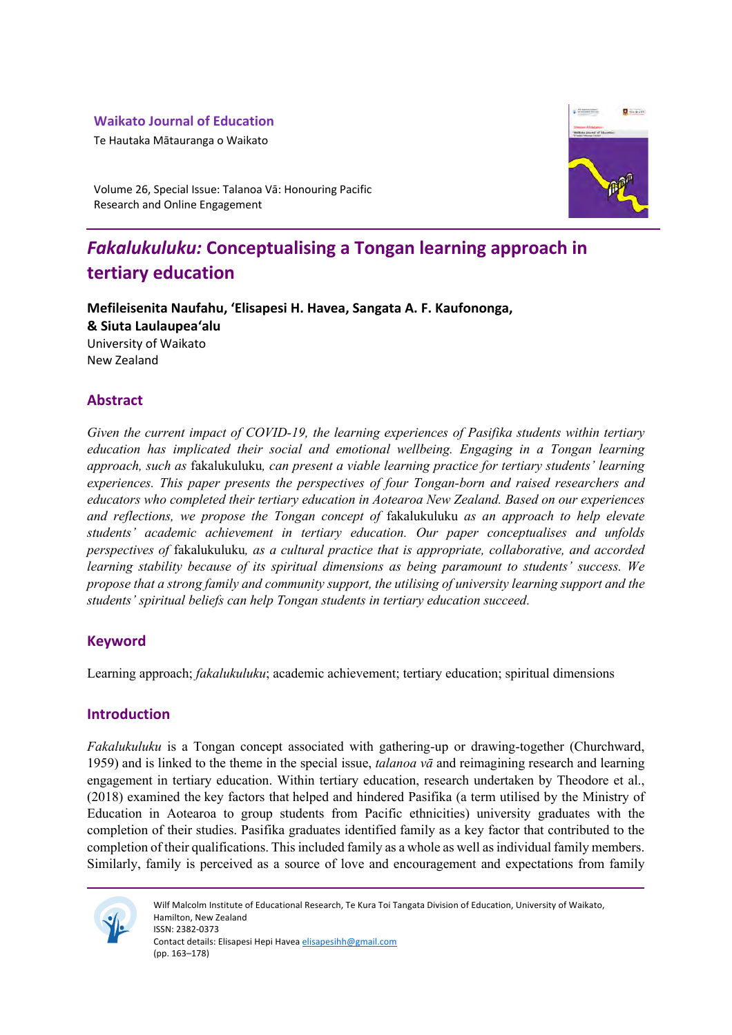# **Waikato Journal of Education**

Te Hautaka Mātauranga o Waikato



Volume 26, Special Issue: Talanoa Vā: Honouring Pacific Research and Online Engagement

# *Fakalukuluku:* **Conceptualising a Tongan learning approach in tertiary education**

**Mefileisenita Naufahu, 'Elisapesi H. Havea, Sangata A. F. Kaufononga, & Siuta Laulaupea'alu** University of Waikato New Zealand

# **Abstract**

*Given the current impact of COVID-19, the learning experiences of Pasifika students within tertiary education has implicated their social and emotional wellbeing. Engaging in a Tongan learning approach, such as* fakalukuluku*, can present a viable learning practice for tertiary students' learning experiences. This paper presents the perspectives of four Tongan-born and raised researchers and educators who completed their tertiary education in Aotearoa New Zealand. Based on our experiences and reflections, we propose the Tongan concept of* fakalukuluku *as an approach to help elevate students' academic achievement in tertiary education. Our paper conceptualises and unfolds perspectives of* fakalukuluku*, as a cultural practice that is appropriate, collaborative, and accorded learning stability because of its spiritual dimensions as being paramount to students' success. We propose that a strong family and community support, the utilising of university learning support and the students' spiritual beliefs can help Tongan students in tertiary education succeed.* 

# **Keyword**

Learning approach; *fakalukuluku*; academic achievement; tertiary education; spiritual dimensions

# **Introduction**

*Fakalukuluku* is a Tongan concept associated with gathering-up or drawing-together (Churchward, 1959) and is linked to the theme in the special issue, *talanoa vā* and reimagining research and learning engagement in tertiary education. Within tertiary education, research undertaken by Theodore et al., (2018) examined the key factors that helped and hindered Pasifika (a term utilised by the Ministry of Education in Aotearoa to group students from Pacific ethnicities) university graduates with the completion of their studies. Pasifika graduates identified family as a key factor that contributed to the completion of their qualifications. This included family as a whole as well as individual family members. Similarly, family is perceived as a source of love and encouragement and expectations from family



Wilf Malcolm Institute of Educational Research, Te Kura Toi Tangata Division of Education, University of Waikato, Hamilton, New Zealand ISSN: 2382-0373 Contact details: Elisapesi Hepi Havea elisapesihh@gmail.com (pp. 163–178)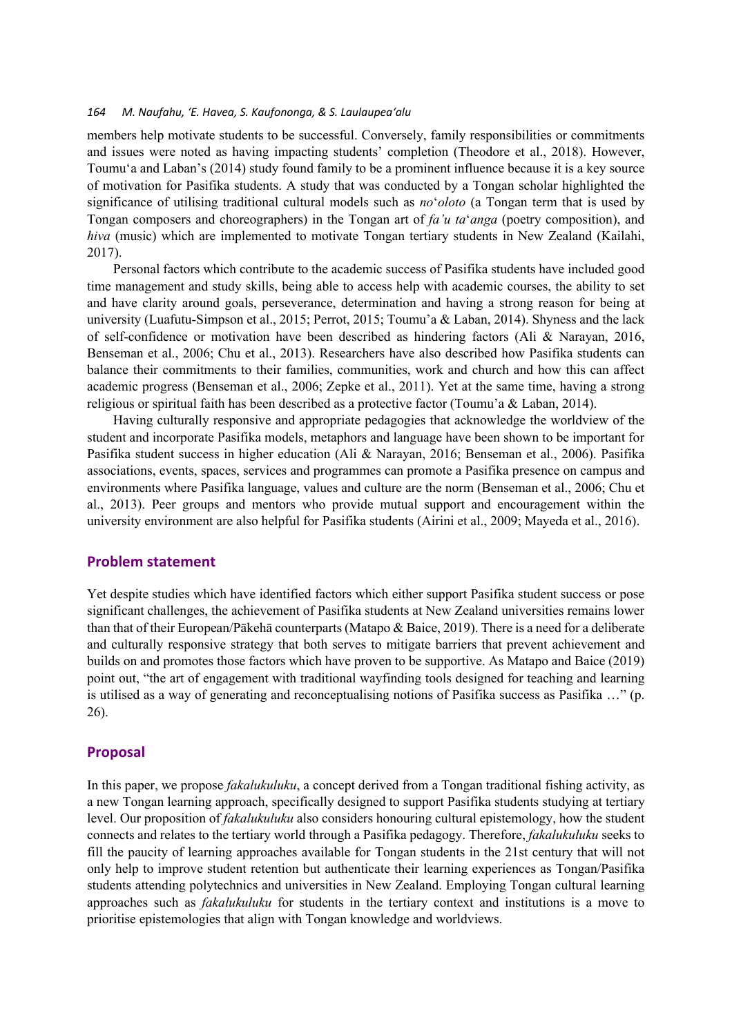members help motivate students to be successful. Conversely, family responsibilities or commitments and issues were noted as having impacting students' completion (Theodore et al., 2018). However, Toumu'a and Laban's (2014) study found family to be a prominent influence because it is a key source of motivation for Pasifika students. A study that was conducted by a Tongan scholar highlighted the significance of utilising traditional cultural models such as *no*'*oloto* (a Tongan term that is used by Tongan composers and choreographers) in the Tongan art of *fa'u ta*'*anga* (poetry composition), and *hiva* (music) which are implemented to motivate Tongan tertiary students in New Zealand (Kailahi, 2017).

Personal factors which contribute to the academic success of Pasifika students have included good time management and study skills, being able to access help with academic courses, the ability to set and have clarity around goals, perseverance, determination and having a strong reason for being at university (Luafutu-Simpson et al., 2015; Perrot, 2015; Toumu'a & Laban, 2014). Shyness and the lack of self-confidence or motivation have been described as hindering factors (Ali & Narayan, 2016, Benseman et al., 2006; Chu et al., 2013). Researchers have also described how Pasifika students can balance their commitments to their families, communities, work and church and how this can affect academic progress (Benseman et al., 2006; Zepke et al., 2011). Yet at the same time, having a strong religious or spiritual faith has been described as a protective factor (Toumu'a & Laban, 2014).

Having culturally responsive and appropriate pedagogies that acknowledge the worldview of the student and incorporate Pasifika models, metaphors and language have been shown to be important for Pasifika student success in higher education (Ali & Narayan, 2016; Benseman et al., 2006). Pasifika associations, events, spaces, services and programmes can promote a Pasifika presence on campus and environments where Pasifika language, values and culture are the norm (Benseman et al., 2006; Chu et al., 2013). Peer groups and mentors who provide mutual support and encouragement within the university environment are also helpful for Pasifika students (Airini et al., 2009; Mayeda et al., 2016).

#### **Problem statement**

Yet despite studies which have identified factors which either support Pasifika student success or pose significant challenges, the achievement of Pasifika students at New Zealand universities remains lower than that of their European/Pākehā counterparts (Matapo & Baice, 2019). There is a need for a deliberate and culturally responsive strategy that both serves to mitigate barriers that prevent achievement and builds on and promotes those factors which have proven to be supportive. As Matapo and Baice (2019) point out, "the art of engagement with traditional wayfinding tools designed for teaching and learning is utilised as a way of generating and reconceptualising notions of Pasifika success as Pasifika …" (p. 26).

#### **Proposal**

In this paper, we propose *fakalukuluku*, a concept derived from a Tongan traditional fishing activity, as a new Tongan learning approach, specifically designed to support Pasifika students studying at tertiary level. Our proposition of *fakalukuluku* also considers honouring cultural epistemology, how the student connects and relates to the tertiary world through a Pasifika pedagogy. Therefore, *fakalukuluku* seeks to fill the paucity of learning approaches available for Tongan students in the 21st century that will not only help to improve student retention but authenticate their learning experiences as Tongan/Pasifika students attending polytechnics and universities in New Zealand. Employing Tongan cultural learning approaches such as *fakalukuluku* for students in the tertiary context and institutions is a move to prioritise epistemologies that align with Tongan knowledge and worldviews.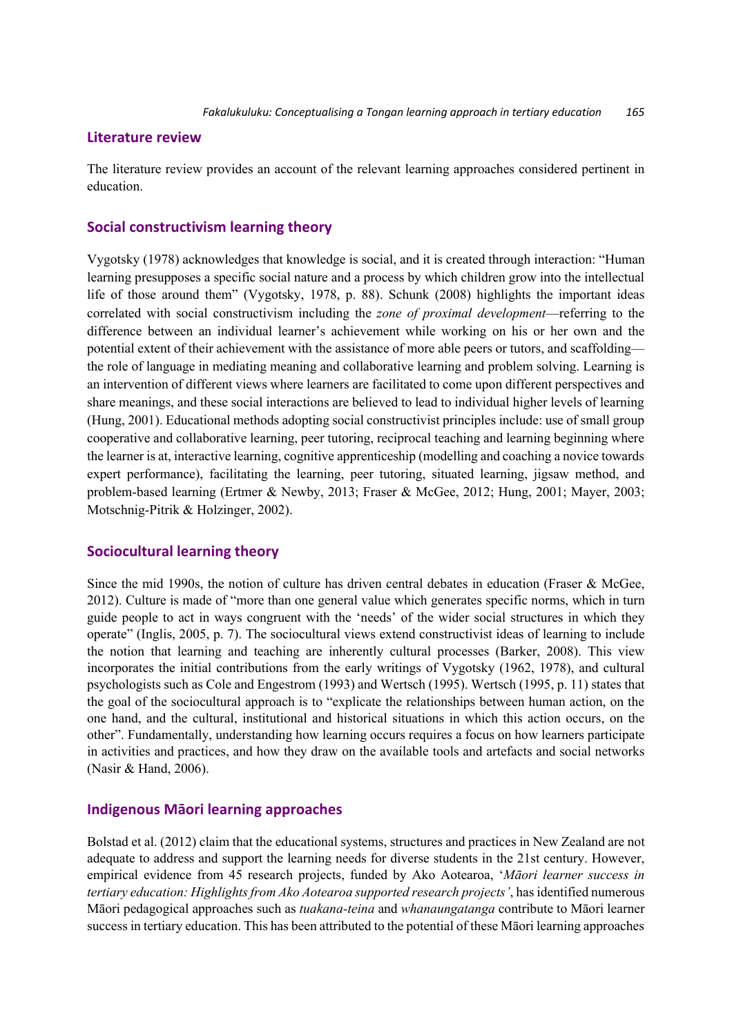## **Literature review**

The literature review provides an account of the relevant learning approaches considered pertinent in education.

## **Social constructivism learning theory**

Vygotsky (1978) acknowledges that knowledge is social, and it is created through interaction: "Human learning presupposes a specific social nature and a process by which children grow into the intellectual life of those around them" (Vygotsky, 1978, p. 88). Schunk (2008) highlights the important ideas correlated with social constructivism including the *zone of proximal development*—referring to the difference between an individual learner's achievement while working on his or her own and the potential extent of their achievement with the assistance of more able peers or tutors, and scaffolding the role of language in mediating meaning and collaborative learning and problem solving. Learning is an intervention of different views where learners are facilitated to come upon different perspectives and share meanings, and these social interactions are believed to lead to individual higher levels of learning (Hung, 2001). Educational methods adopting social constructivist principles include: use of small group cooperative and collaborative learning, peer tutoring, reciprocal teaching and learning beginning where the learner is at, interactive learning, cognitive apprenticeship (modelling and coaching a novice towards expert performance), facilitating the learning, peer tutoring, situated learning, jigsaw method, and problem-based learning (Ertmer & Newby, 2013; Fraser & McGee, 2012; Hung, 2001; Mayer, 2003; Motschnig-Pitrik & Holzinger, 2002).

## **Sociocultural learning theory**

Since the mid 1990s, the notion of culture has driven central debates in education (Fraser & McGee, 2012). Culture is made of "more than one general value which generates specific norms, which in turn guide people to act in ways congruent with the 'needs' of the wider social structures in which they operate" (Inglis, 2005, p. 7). The sociocultural views extend constructivist ideas of learning to include the notion that learning and teaching are inherently cultural processes (Barker, 2008). This view incorporates the initial contributions from the early writings of Vygotsky (1962, 1978), and cultural psychologists such as Cole and Engestrom (1993) and Wertsch (1995). Wertsch (1995, p. 11) states that the goal of the sociocultural approach is to "explicate the relationships between human action, on the one hand, and the cultural, institutional and historical situations in which this action occurs, on the other". Fundamentally, understanding how learning occurs requires a focus on how learners participate in activities and practices, and how they draw on the available tools and artefacts and social networks (Nasir & Hand, 2006).

### **Indigenous Māori learning approaches**

Bolstad et al. (2012) claim that the educational systems, structures and practices in New Zealand are not adequate to address and support the learning needs for diverse students in the 21st century. However, empirical evidence from 45 research projects, funded by Ako Aotearoa, '*Māori learner success in tertiary education: Highlights from Ako Aotearoa supported research projects'*, has identified numerous Māori pedagogical approaches such as *tuakana-teina* and *whanaungatanga* contribute to Māori learner success in tertiary education. This has been attributed to the potential of these Māori learning approaches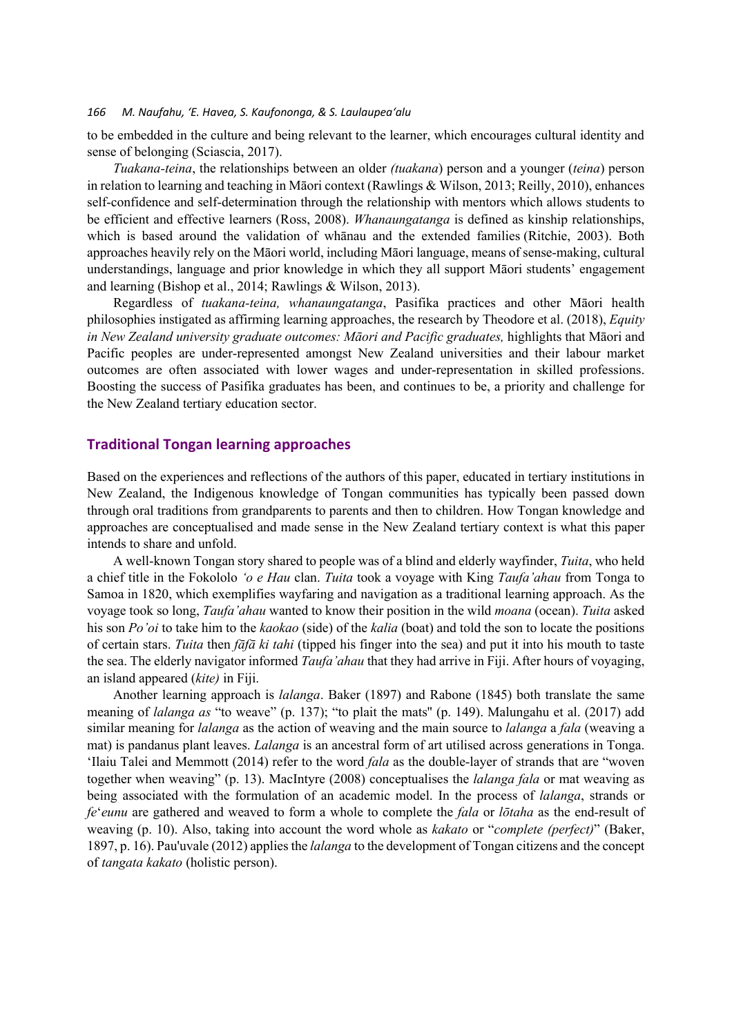to be embedded in the culture and being relevant to the learner, which encourages cultural identity and sense of belonging (Sciascia, 2017).

*Tuakana-teina*, the relationships between an older *(tuakana*) person and a younger (*teina*) person in relation to learning and teaching in Māori context (Rawlings & Wilson, 2013; Reilly, 2010), enhances self-confidence and self-determination through the relationship with mentors which allows students to be efficient and effective learners (Ross, 2008). *Whanaungatanga* is defined as kinship relationships, which is based around the validation of whānau and the extended families (Ritchie, 2003). Both approaches heavily rely on the Māori world, including Māori language, means of sense-making, cultural understandings, language and prior knowledge in which they all support Māori students' engagement and learning (Bishop et al., 2014; Rawlings & Wilson, 2013).

Regardless of *tuakana-teina, whanaungatanga*, Pasifika practices and other Māori health philosophies instigated as affirming learning approaches, the research by Theodore et al. (2018), *Equity in New Zealand university graduate outcomes: Māori and Pacific graduates,* highlights that Māori and Pacific peoples are under-represented amongst New Zealand universities and their labour market outcomes are often associated with lower wages and under-representation in skilled professions. Boosting the success of Pasifika graduates has been, and continues to be, a priority and challenge for the New Zealand tertiary education sector.

#### **Traditional Tongan learning approaches**

Based on the experiences and reflections of the authors of this paper, educated in tertiary institutions in New Zealand, the Indigenous knowledge of Tongan communities has typically been passed down through oral traditions from grandparents to parents and then to children. How Tongan knowledge and approaches are conceptualised and made sense in the New Zealand tertiary context is what this paper intends to share and unfold.

A well-known Tongan story shared to people was of a blind and elderly wayfinder, *Tuita*, who held a chief title in the Fokololo *'o e Hau* clan. *Tuita* took a voyage with King *Taufa'ahau* from Tonga to Samoa in 1820, which exemplifies wayfaring and navigation as a traditional learning approach. As the voyage took so long, *Taufa'ahau* wanted to know their position in the wild *moana* (ocean). *Tuita* asked his son *Po'oi* to take him to the *kaokao* (side) of the *kalia* (boat) and told the son to locate the positions of certain stars. *Tuita* then *fāfā ki tahi* (tipped his finger into the sea) and put it into his mouth to taste the sea. The elderly navigator informed *Taufa'ahau* that they had arrive in Fiji. After hours of voyaging, an island appeared (*kite)* in Fiji.

Another learning approach is *lalanga*. Baker (1897) and Rabone (1845) both translate the same meaning of *lalanga as* "to weave" (p. 137); "to plait the mats'' (p. 149). Malungahu et al. (2017) add similar meaning for *lalanga* as the action of weaving and the main source to *lalanga* a *fala* (weaving a mat) is pandanus plant leaves. *Lalanga* is an ancestral form of art utilised across generations in Tonga. ʻIlaiu Talei and Memmott (2014) refer to the word *fala* as the double-layer of strands that are "woven together when weaving" (p. 13). MacIntyre (2008) conceptualises the *lalanga fala* or mat weaving as being associated with the formulation of an academic model. In the process of *lalanga*, strands or *fe*'*eunu* are gathered and weaved to form a whole to complete the *fala* or *lōtaha* as the end-result of weaving (p. 10). Also, taking into account the word whole as *kakato* or "*complete (perfect)*" (Baker, 1897, p. 16). Pau'uvale (2012) applies the *lalanga* to the development of Tongan citizens and the concept of *tangata kakato* (holistic person).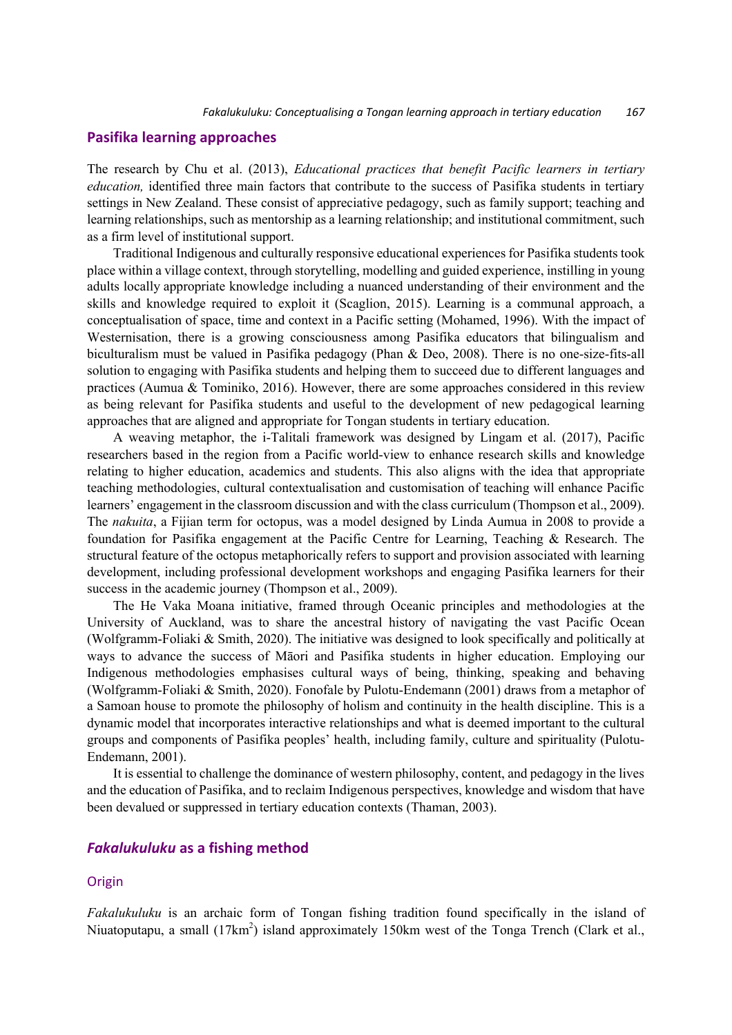#### **Pasifika learning approaches**

The research by Chu et al. (2013), *Educational practices that benefit Pacific learners in tertiary education,* identified three main factors that contribute to the success of Pasifika students in tertiary settings in New Zealand. These consist of appreciative pedagogy, such as family support; teaching and learning relationships, such as mentorship as a learning relationship; and institutional commitment, such as a firm level of institutional support.

Traditional Indigenous and culturally responsive educational experiences for Pasifika students took place within a village context, through storytelling, modelling and guided experience, instilling in young adults locally appropriate knowledge including a nuanced understanding of their environment and the skills and knowledge required to exploit it (Scaglion, 2015). Learning is a communal approach, a conceptualisation of space, time and context in a Pacific setting (Mohamed, 1996). With the impact of Westernisation, there is a growing consciousness among Pasifika educators that bilingualism and biculturalism must be valued in Pasifika pedagogy (Phan & Deo, 2008). There is no one-size-fits-all solution to engaging with Pasifika students and helping them to succeed due to different languages and practices (Aumua & Tominiko, 2016). However, there are some approaches considered in this review as being relevant for Pasifika students and useful to the development of new pedagogical learning approaches that are aligned and appropriate for Tongan students in tertiary education.

A weaving metaphor, the i-Talitali framework was designed by Lingam et al. (2017), Pacific researchers based in the region from a Pacific world-view to enhance research skills and knowledge relating to higher education, academics and students. This also aligns with the idea that appropriate teaching methodologies, cultural contextualisation and customisation of teaching will enhance Pacific learners' engagement in the classroom discussion and with the class curriculum (Thompson et al., 2009). The *nakuita*, a Fijian term for octopus, was a model designed by Linda Aumua in 2008 to provide a foundation for Pasifika engagement at the Pacific Centre for Learning, Teaching & Research. The structural feature of the octopus metaphorically refers to support and provision associated with learning development, including professional development workshops and engaging Pasifika learners for their success in the academic journey (Thompson et al., 2009).

The He Vaka Moana initiative, framed through Oceanic principles and methodologies at the University of Auckland, was to share the ancestral history of navigating the vast Pacific Ocean (Wolfgramm-Foliaki & Smith, 2020). The initiative was designed to look specifically and politically at ways to advance the success of Māori and Pasifika students in higher education. Employing our Indigenous methodologies emphasises cultural ways of being, thinking, speaking and behaving (Wolfgramm-Foliaki & Smith, 2020). Fonofale by Pulotu-Endemann (2001) draws from a metaphor of a Samoan house to promote the philosophy of holism and continuity in the health discipline. This is a dynamic model that incorporates interactive relationships and what is deemed important to the cultural groups and components of Pasifika peoples' health, including family, culture and spirituality (Pulotu-Endemann, 2001).

It is essential to challenge the dominance of western philosophy, content, and pedagogy in the lives and the education of Pasifika, and to reclaim Indigenous perspectives, knowledge and wisdom that have been devalued or suppressed in tertiary education contexts (Thaman, 2003).

#### *Fakalukuluku* **as a fishing method**

#### **Origin**

*Fakalukuluku* is an archaic form of Tongan fishing tradition found specifically in the island of Niuatoputapu, a small (17km<sup>2</sup>) island approximately 150km west of the Tonga Trench (Clark et al.,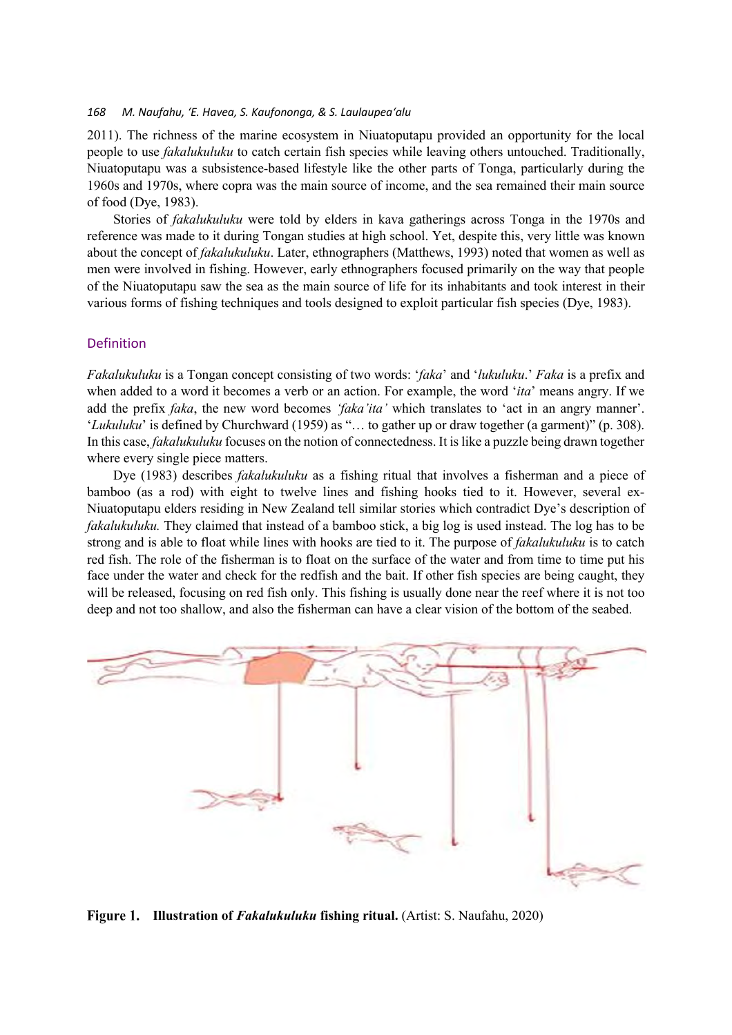2011). The richness of the marine ecosystem in Niuatoputapu provided an opportunity for the local people to use *fakalukuluku* to catch certain fish species while leaving others untouched. Traditionally, Niuatoputapu was a subsistence-based lifestyle like the other parts of Tonga, particularly during the 1960s and 1970s, where copra was the main source of income, and the sea remained their main source of food (Dye, 1983).

Stories of *fakalukuluku* were told by elders in kava gatherings across Tonga in the 1970s and reference was made to it during Tongan studies at high school. Yet, despite this, very little was known about the concept of *fakalukuluku*. Later, ethnographers (Matthews, 1993) noted that women as well as men were involved in fishing. However, early ethnographers focused primarily on the way that people of the Niuatoputapu saw the sea as the main source of life for its inhabitants and took interest in their various forms of fishing techniques and tools designed to exploit particular fish species (Dye, 1983).

#### Definition

*Fakalukuluku* is a Tongan concept consisting of two words: '*faka*' and '*lukuluku*.' *Faka* is a prefix and when added to a word it becomes a verb or an action. For example, the word '*ita*' means angry. If we add the prefix *faka*, the new word becomes *'faka'ita'* which translates to 'act in an angry manner'. '*Lukuluku*' is defined by Churchward (1959) as "… to gather up or draw together (a garment)" (p. 308). In this case, *fakalukuluku* focuses on the notion of connectedness. It is like a puzzle being drawn together where every single piece matters.

Dye (1983) describes *fakalukuluku* as a fishing ritual that involves a fisherman and a piece of bamboo (as a rod) with eight to twelve lines and fishing hooks tied to it. However, several ex-Niuatoputapu elders residing in New Zealand tell similar stories which contradict Dye's description of *fakalukuluku.* They claimed that instead of a bamboo stick, a big log is used instead. The log has to be strong and is able to float while lines with hooks are tied to it. The purpose of *fakalukuluku* is to catch red fish. The role of the fisherman is to float on the surface of the water and from time to time put his face under the water and check for the redfish and the bait. If other fish species are being caught, they will be released, focusing on red fish only. This fishing is usually done near the reef where it is not too deep and not too shallow, and also the fisherman can have a clear vision of the bottom of the seabed.



**Figure 1.** Illustration of *Fakalukuluku* fishing ritual. (Artist: S. Naufahu, 2020)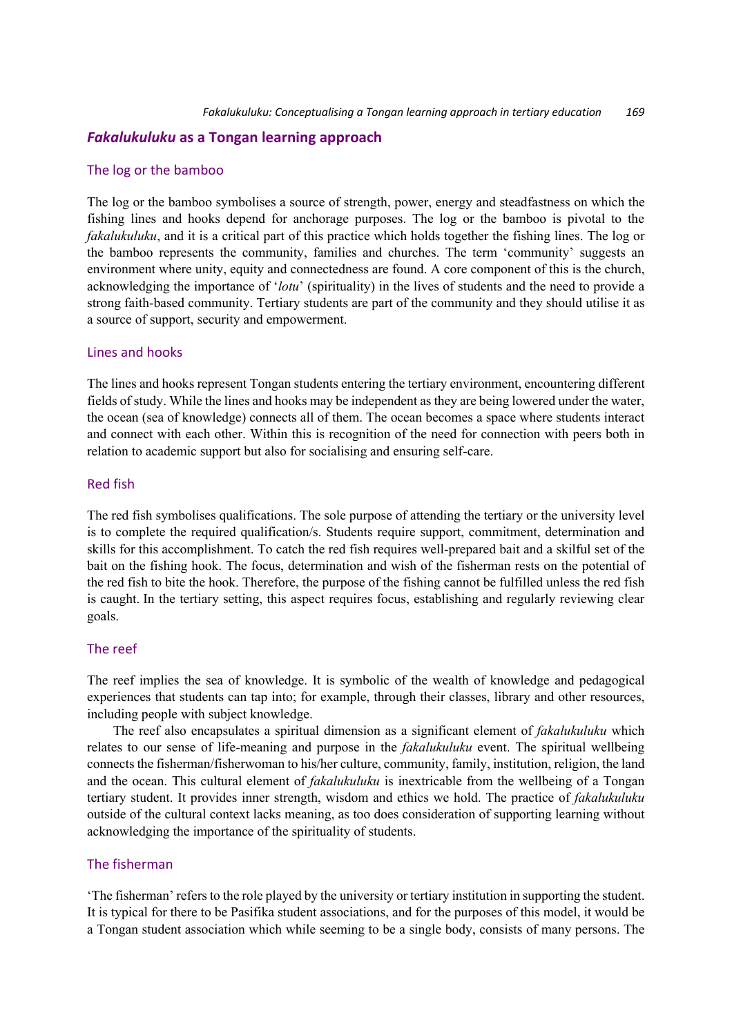# *Fakalukuluku* **as a Tongan learning approach**

#### The log or the bamboo

The log or the bamboo symbolises a source of strength, power, energy and steadfastness on which the fishing lines and hooks depend for anchorage purposes. The log or the bamboo is pivotal to the *fakalukuluku*, and it is a critical part of this practice which holds together the fishing lines. The log or the bamboo represents the community, families and churches. The term 'community' suggests an environment where unity, equity and connectedness are found. A core component of this is the church, acknowledging the importance of '*lotu*' (spirituality) in the lives of students and the need to provide a strong faith-based community. Tertiary students are part of the community and they should utilise it as a source of support, security and empowerment.

#### Lines and hooks

The lines and hooks represent Tongan students entering the tertiary environment, encountering different fields of study. While the lines and hooks may be independent as they are being lowered under the water, the ocean (sea of knowledge) connects all of them. The ocean becomes a space where students interact and connect with each other. Within this is recognition of the need for connection with peers both in relation to academic support but also for socialising and ensuring self-care.

#### Red fish

The red fish symbolises qualifications. The sole purpose of attending the tertiary or the university level is to complete the required qualification/s. Students require support, commitment, determination and skills for this accomplishment. To catch the red fish requires well-prepared bait and a skilful set of the bait on the fishing hook. The focus, determination and wish of the fisherman rests on the potential of the red fish to bite the hook. Therefore, the purpose of the fishing cannot be fulfilled unless the red fish is caught. In the tertiary setting, this aspect requires focus, establishing and regularly reviewing clear goals.

## The reef

The reef implies the sea of knowledge. It is symbolic of the wealth of knowledge and pedagogical experiences that students can tap into; for example, through their classes, library and other resources, including people with subject knowledge.

The reef also encapsulates a spiritual dimension as a significant element of *fakalukuluku* which relates to our sense of life-meaning and purpose in the *fakalukuluku* event. The spiritual wellbeing connects the fisherman/fisherwoman to his/her culture, community, family, institution, religion, the land and the ocean. This cultural element of *fakalukuluku* is inextricable from the wellbeing of a Tongan tertiary student. It provides inner strength, wisdom and ethics we hold. The practice of *fakalukuluku* outside of the cultural context lacks meaning, as too does consideration of supporting learning without acknowledging the importance of the spirituality of students.

## The fisherman

'The fisherman' refers to the role played by the university or tertiary institution in supporting the student. It is typical for there to be Pasifika student associations, and for the purposes of this model, it would be a Tongan student association which while seeming to be a single body, consists of many persons. The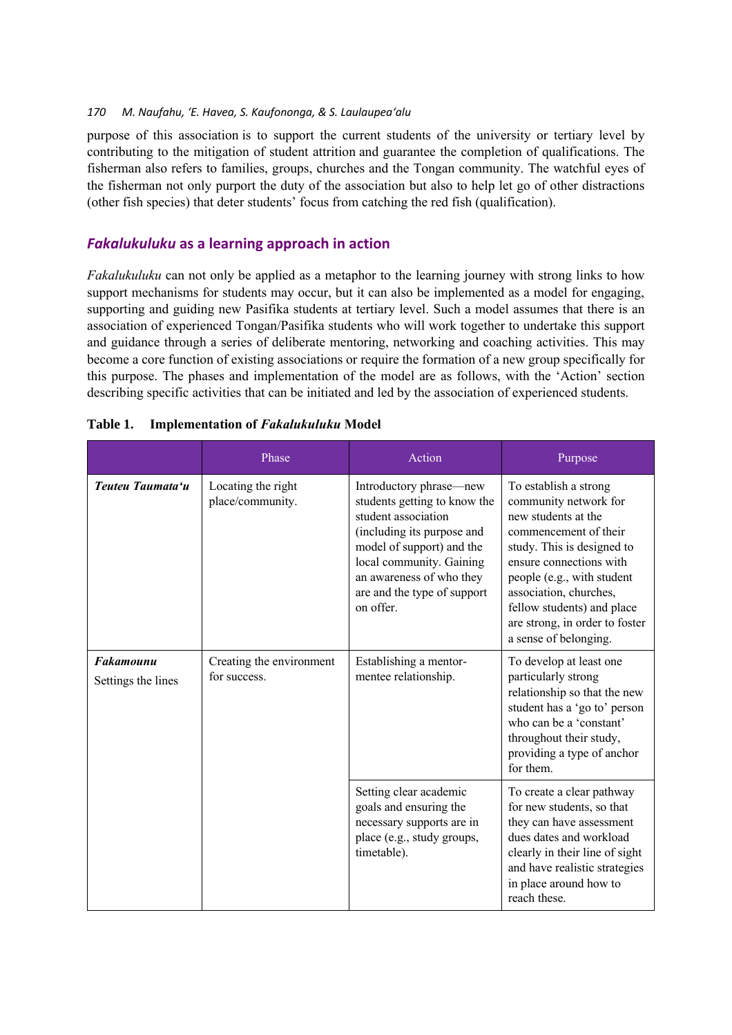purpose of this association is to support the current students of the university or tertiary level by contributing to the mitigation of student attrition and guarantee the completion of qualifications. The fisherman also refers to families, groups, churches and the Tongan community. The watchful eyes of the fisherman not only purport the duty of the association but also to help let go of other distractions (other fish species) that deter students' focus from catching the red fish (qualification).

## *Fakalukuluku* **as a learning approach in action**

*Fakalukuluku* can not only be applied as a metaphor to the learning journey with strong links to how support mechanisms for students may occur, but it can also be implemented as a model for engaging, supporting and guiding new Pasifika students at tertiary level. Such a model assumes that there is an association of experienced Tongan/Pasifika students who will work together to undertake this support and guidance through a series of deliberate mentoring, networking and coaching activities. This may become a core function of existing associations or require the formation of a new group specifically for this purpose. The phases and implementation of the model are as follows, with the 'Action' section describing specific activities that can be initiated and led by the association of experienced students.

|                                        | Phase                                    | Action                                                                                                                                                                                                                                        | Purpose                                                                                                                                                                                                                                                                                                  |
|----------------------------------------|------------------------------------------|-----------------------------------------------------------------------------------------------------------------------------------------------------------------------------------------------------------------------------------------------|----------------------------------------------------------------------------------------------------------------------------------------------------------------------------------------------------------------------------------------------------------------------------------------------------------|
| Teuteu Taumata'u                       | Locating the right<br>place/community.   | Introductory phrase—new<br>students getting to know the<br>student association<br>(including its purpose and<br>model of support) and the<br>local community. Gaining<br>an awareness of who they<br>are and the type of support<br>on offer. | To establish a strong<br>community network for<br>new students at the<br>commencement of their<br>study. This is designed to<br>ensure connections with<br>people (e.g., with student<br>association, churches,<br>fellow students) and place<br>are strong, in order to foster<br>a sense of belonging. |
| <b>Fakamounu</b><br>Settings the lines | Creating the environment<br>for success. | Establishing a mentor-<br>mentee relationship.                                                                                                                                                                                                | To develop at least one<br>particularly strong<br>relationship so that the new<br>student has a 'go to' person<br>who can be a 'constant'<br>throughout their study,<br>providing a type of anchor<br>for them.                                                                                          |
|                                        |                                          | Setting clear academic<br>goals and ensuring the<br>necessary supports are in<br>place (e.g., study groups,<br>timetable).                                                                                                                    | To create a clear pathway<br>for new students, so that<br>they can have assessment<br>dues dates and workload<br>clearly in their line of sight<br>and have realistic strategies<br>in place around how to<br>reach these.                                                                               |

#### **Table 1. Implementation of** *Fakalukuluku* **Model**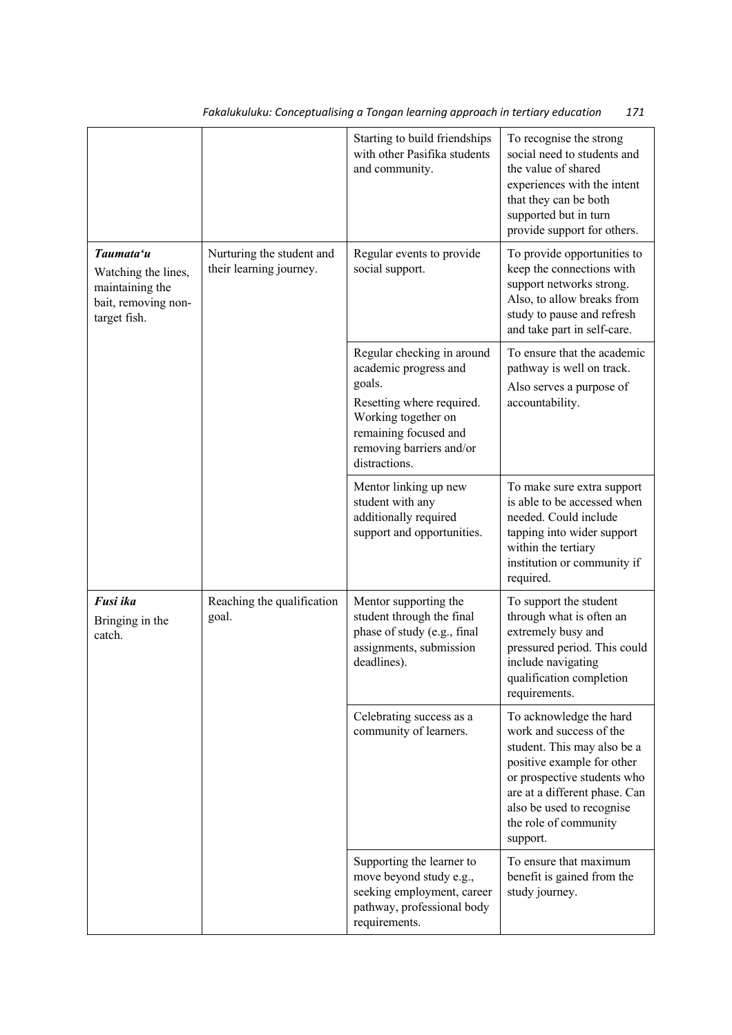|                                                                                            |                                                      | Starting to build friendships<br>with other Pasifika students<br>and community.                                                                                                         | To recognise the strong<br>social need to students and<br>the value of shared<br>experiences with the intent<br>that they can be both<br>supported but in turn<br>provide support for others.                                                     |
|--------------------------------------------------------------------------------------------|------------------------------------------------------|-----------------------------------------------------------------------------------------------------------------------------------------------------------------------------------------|---------------------------------------------------------------------------------------------------------------------------------------------------------------------------------------------------------------------------------------------------|
| Taumata'u<br>Watching the lines,<br>maintaining the<br>bait, removing non-<br>target fish. | Nurturing the student and<br>their learning journey. | Regular events to provide<br>social support.                                                                                                                                            | To provide opportunities to<br>keep the connections with<br>support networks strong.<br>Also, to allow breaks from<br>study to pause and refresh<br>and take part in self-care.                                                                   |
|                                                                                            |                                                      | Regular checking in around<br>academic progress and<br>goals.<br>Resetting where required.<br>Working together on<br>remaining focused and<br>removing barriers and/or<br>distractions. | To ensure that the academic<br>pathway is well on track.<br>Also serves a purpose of<br>accountability.                                                                                                                                           |
|                                                                                            |                                                      | Mentor linking up new<br>student with any<br>additionally required<br>support and opportunities.                                                                                        | To make sure extra support<br>is able to be accessed when<br>needed. Could include<br>tapping into wider support<br>within the tertiary<br>institution or community if<br>required.                                                               |
| Fusi ika<br>Bringing in the<br>catch.                                                      | Reaching the qualification<br>goal.                  | Mentor supporting the<br>student through the final<br>phase of study (e.g., final<br>assignments, submission<br>deadlines).                                                             | To support the student<br>through what is often an<br>extremely busy and<br>pressured period. This could<br>include navigating<br>qualification completion<br>requirements.                                                                       |
|                                                                                            |                                                      | Celebrating success as a<br>community of learners.                                                                                                                                      | To acknowledge the hard<br>work and success of the<br>student. This may also be a<br>positive example for other<br>or prospective students who<br>are at a different phase. Can<br>also be used to recognise<br>the role of community<br>support. |
|                                                                                            |                                                      | Supporting the learner to<br>move beyond study e.g.,<br>seeking employment, career<br>pathway, professional body<br>requirements.                                                       | To ensure that maximum<br>benefit is gained from the<br>study journey.                                                                                                                                                                            |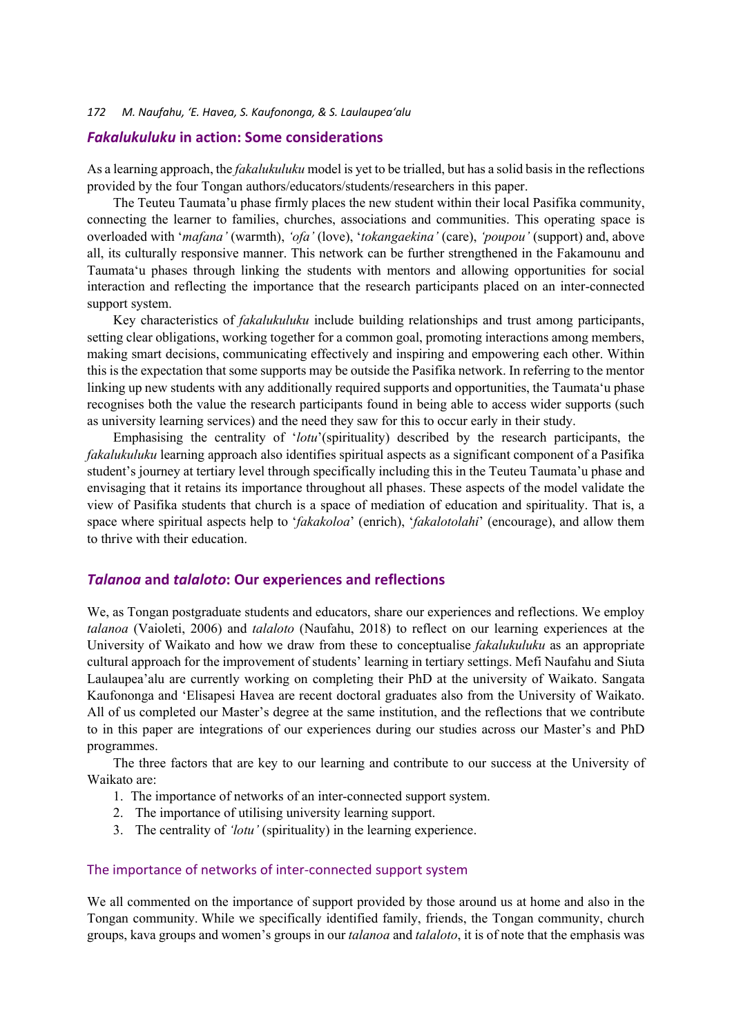### *Fakalukuluku* **in action: Some considerations**

As a learning approach, the *fakalukuluku* model is yet to be trialled, but has a solid basis in the reflections provided by the four Tongan authors/educators/students/researchers in this paper.

The Teuteu Taumata'u phase firmly places the new student within their local Pasifika community, connecting the learner to families, churches, associations and communities. This operating space is overloaded with '*mafana'* (warmth), *'ofa'* (love), '*tokangaekina'* (care), *'poupou'* (support) and, above all, its culturally responsive manner. This network can be further strengthened in the Fakamounu and Taumata'u phases through linking the students with mentors and allowing opportunities for social interaction and reflecting the importance that the research participants placed on an inter-connected support system.

Key characteristics of *fakalukuluku* include building relationships and trust among participants, setting clear obligations, working together for a common goal, promoting interactions among members, making smart decisions, communicating effectively and inspiring and empowering each other. Within this is the expectation that some supports may be outside the Pasifika network. In referring to the mentor linking up new students with any additionally required supports and opportunities, the Taumata'u phase recognises both the value the research participants found in being able to access wider supports (such as university learning services) and the need they saw for this to occur early in their study.

Emphasising the centrality of '*lotu*'(spirituality) described by the research participants, the *fakalukuluku* learning approach also identifies spiritual aspects as a significant component of a Pasifika student's journey at tertiary level through specifically including this in the Teuteu Taumata'u phase and envisaging that it retains its importance throughout all phases. These aspects of the model validate the view of Pasifika students that church is a space of mediation of education and spirituality. That is, a space where spiritual aspects help to '*fakakoloa*' (enrich), '*fakalotolahi*' (encourage), and allow them to thrive with their education.

#### *Talanoa* **and** *talaloto***: Our experiences and reflections**

We, as Tongan postgraduate students and educators, share our experiences and reflections. We employ *talanoa* (Vaioleti, 2006) and *talaloto* (Naufahu, 2018) to reflect on our learning experiences at the University of Waikato and how we draw from these to conceptualise *fakalukuluku* as an appropriate cultural approach for the improvement of students' learning in tertiary settings. Mefi Naufahu and Siuta Laulaupea'alu are currently working on completing their PhD at the university of Waikato. Sangata Kaufononga and 'Elisapesi Havea are recent doctoral graduates also from the University of Waikato. All of us completed our Master's degree at the same institution, and the reflections that we contribute to in this paper are integrations of our experiences during our studies across our Master's and PhD programmes.

The three factors that are key to our learning and contribute to our success at the University of Waikato are:

- 1. The importance of networks of an inter-connected support system.
- 2. The importance of utilising university learning support.
- 3. The centrality of *'lotu'* (spirituality) in the learning experience.

#### The importance of networks of inter-connected support system

We all commented on the importance of support provided by those around us at home and also in the Tongan community. While we specifically identified family, friends, the Tongan community, church groups, kava groups and women's groups in our *talanoa* and *talaloto*, it is of note that the emphasis was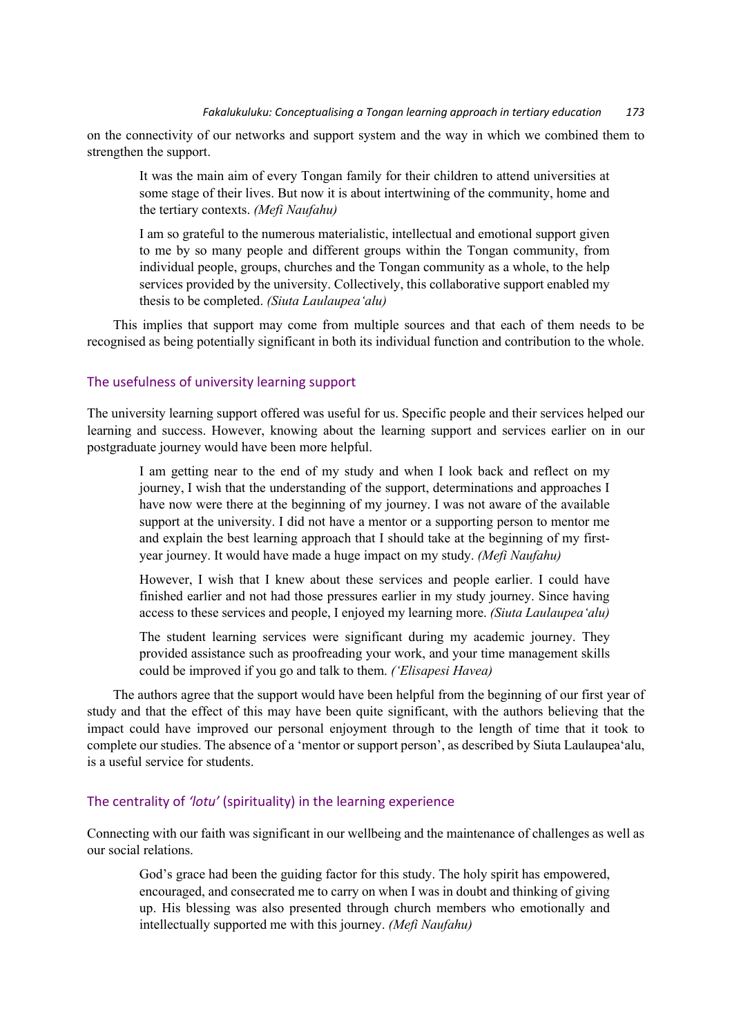on the connectivity of our networks and support system and the way in which we combined them to strengthen the support.

It was the main aim of every Tongan family for their children to attend universities at some stage of their lives. But now it is about intertwining of the community, home and the tertiary contexts. *(Mefi Naufahu)*

I am so grateful to the numerous materialistic, intellectual and emotional support given to me by so many people and different groups within the Tongan community, from individual people, groups, churches and the Tongan community as a whole, to the help services provided by the university. Collectively, this collaborative support enabled my thesis to be completed. *(Siuta Laulaupea'alu)*

This implies that support may come from multiple sources and that each of them needs to be recognised as being potentially significant in both its individual function and contribution to the whole.

#### The usefulness of university learning support

The university learning support offered was useful for us. Specific people and their services helped our learning and success. However, knowing about the learning support and services earlier on in our postgraduate journey would have been more helpful.

I am getting near to the end of my study and when I look back and reflect on my journey, I wish that the understanding of the support, determinations and approaches I have now were there at the beginning of my journey. I was not aware of the available support at the university. I did not have a mentor or a supporting person to mentor me and explain the best learning approach that I should take at the beginning of my firstyear journey. It would have made a huge impact on my study. *(Mefi Naufahu)*

However, I wish that I knew about these services and people earlier. I could have finished earlier and not had those pressures earlier in my study journey. Since having access to these services and people, I enjoyed my learning more. *(Siuta Laulaupea'alu)*

The student learning services were significant during my academic journey. They provided assistance such as proofreading your work, and your time management skills could be improved if you go and talk to them. *('Elisapesi Havea)*

The authors agree that the support would have been helpful from the beginning of our first year of study and that the effect of this may have been quite significant, with the authors believing that the impact could have improved our personal enjoyment through to the length of time that it took to complete our studies. The absence of a 'mentor or support person', as described by Siuta Laulaupea'alu, is a useful service for students.

#### The centrality of *'lotu'* (spirituality) in the learning experience

Connecting with our faith was significant in our wellbeing and the maintenance of challenges as well as our social relations.

God's grace had been the guiding factor for this study. The holy spirit has empowered, encouraged, and consecrated me to carry on when I was in doubt and thinking of giving up. His blessing was also presented through church members who emotionally and intellectually supported me with this journey. *(Mefi Naufahu)*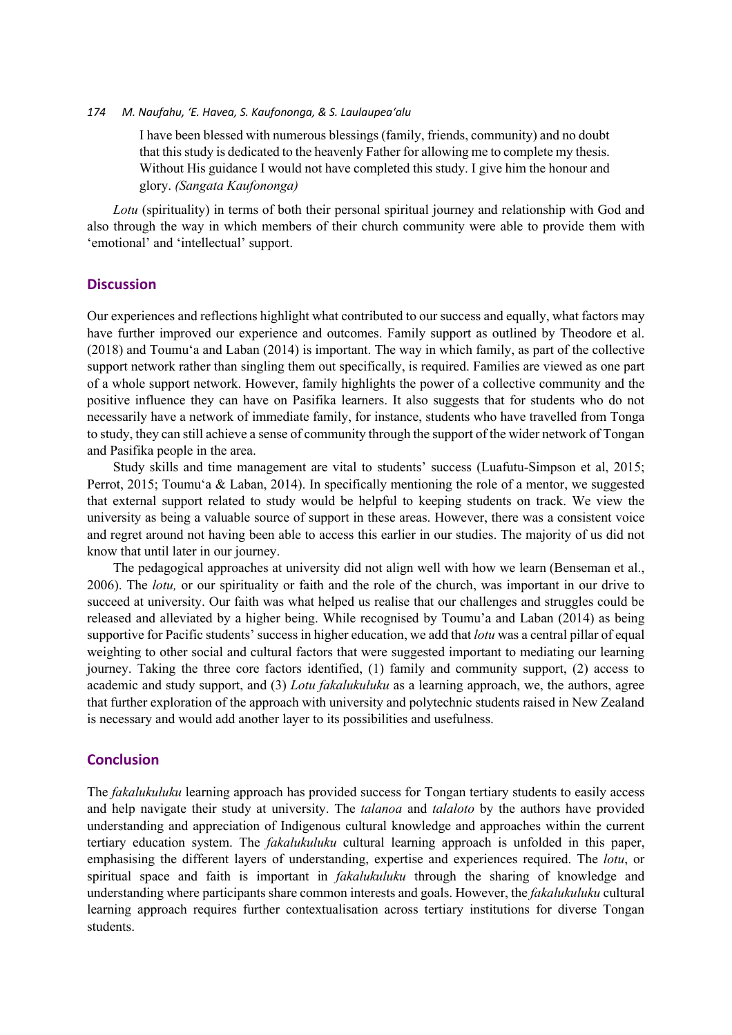I have been blessed with numerous blessings (family, friends, community) and no doubt that this study is dedicated to the heavenly Father for allowing me to complete my thesis. Without His guidance I would not have completed this study. I give him the honour and glory. *(Sangata Kaufononga)*

*Lotu* (spirituality) in terms of both their personal spiritual journey and relationship with God and also through the way in which members of their church community were able to provide them with 'emotional' and 'intellectual' support.

#### **Discussion**

Our experiences and reflections highlight what contributed to our success and equally, what factors may have further improved our experience and outcomes. Family support as outlined by Theodore et al. (2018) and Toumu'a and Laban (2014) is important. The way in which family, as part of the collective support network rather than singling them out specifically, is required. Families are viewed as one part of a whole support network. However, family highlights the power of a collective community and the positive influence they can have on Pasifika learners. It also suggests that for students who do not necessarily have a network of immediate family, for instance, students who have travelled from Tonga to study, they can still achieve a sense of community through the support of the wider network of Tongan and Pasifika people in the area.

Study skills and time management are vital to students' success (Luafutu-Simpson et al, 2015; Perrot, 2015; Toumu'a & Laban, 2014). In specifically mentioning the role of a mentor, we suggested that external support related to study would be helpful to keeping students on track. We view the university as being a valuable source of support in these areas. However, there was a consistent voice and regret around not having been able to access this earlier in our studies. The majority of us did not know that until later in our journey.

The pedagogical approaches at university did not align well with how we learn (Benseman et al., 2006). The *lotu,* or our spirituality or faith and the role of the church, was important in our drive to succeed at university. Our faith was what helped us realise that our challenges and struggles could be released and alleviated by a higher being. While recognised by Toumu'a and Laban (2014) as being supportive for Pacific students' success in higher education, we add that *lotu* was a central pillar of equal weighting to other social and cultural factors that were suggested important to mediating our learning journey. Taking the three core factors identified, (1) family and community support, (2) access to academic and study support, and (3) *Lotu fakalukuluku* as a learning approach, we, the authors, agree that further exploration of the approach with university and polytechnic students raised in New Zealand is necessary and would add another layer to its possibilities and usefulness.

# **Conclusion**

The *fakalukuluku* learning approach has provided success for Tongan tertiary students to easily access and help navigate their study at university. The *talanoa* and *talaloto* by the authors have provided understanding and appreciation of Indigenous cultural knowledge and approaches within the current tertiary education system. The *fakalukuluku* cultural learning approach is unfolded in this paper, emphasising the different layers of understanding, expertise and experiences required. The *lotu*, or spiritual space and faith is important in *fakalukuluku* through the sharing of knowledge and understanding where participants share common interests and goals. However, the *fakalukuluku* cultural learning approach requires further contextualisation across tertiary institutions for diverse Tongan students.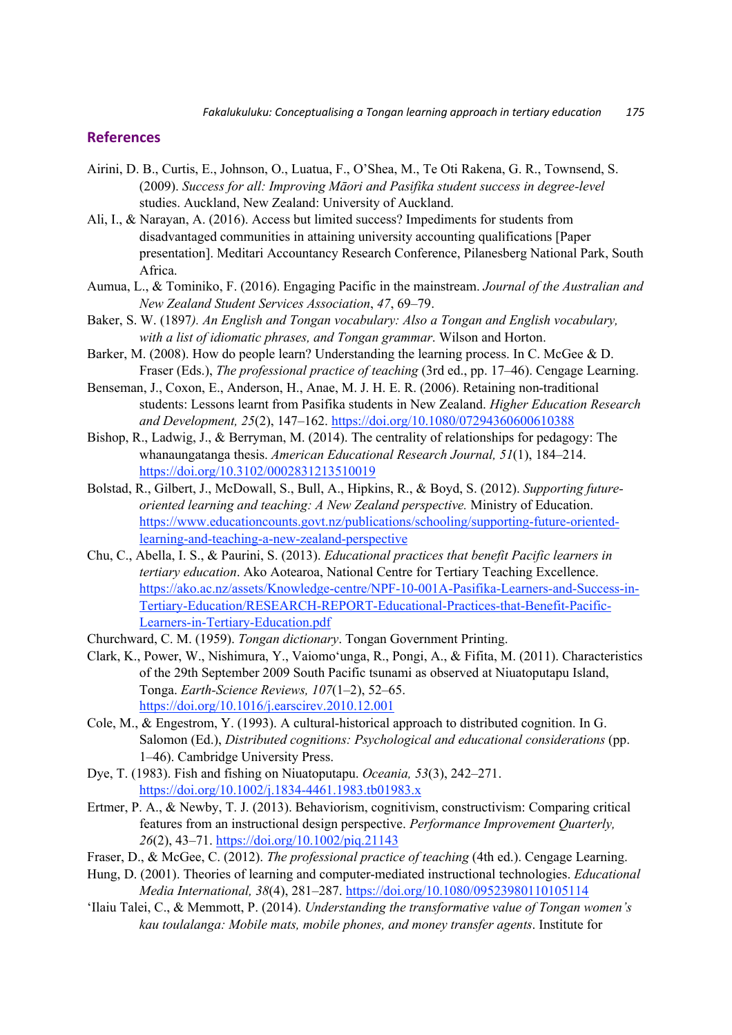#### **References**

- Airini, D. B., Curtis, E., Johnson, O., Luatua, F., O'Shea, M., Te Oti Rakena, G. R., Townsend, S. (2009). *Success for all: Improving Māori and Pasifika student success in degree-level*  studies. Auckland, New Zealand: University of Auckland.
- Ali, I., & Narayan, A. (2016). Access but limited success? Impediments for students from disadvantaged communities in attaining university accounting qualifications [Paper presentation]. Meditari Accountancy Research Conference, Pilanesberg National Park, South Africa.
- Aumua, L., & Tominiko, F. (2016). Engaging Pacific in the mainstream. *Journal of the Australian and New Zealand Student Services Association*, *47*, 69–79.
- Baker, S. W. (1897*). An English and Tongan vocabulary: Also a Tongan and English vocabulary, with a list of idiomatic phrases, and Tongan grammar*. Wilson and Horton.
- Barker, M. (2008). How do people learn? Understanding the learning process. In C. McGee & D. Fraser (Eds.), *The professional practice of teaching* (3rd ed., pp. 17–46). Cengage Learning.
- Benseman, J., Coxon, E., Anderson, H., Anae, M. J. H. E. R. (2006). Retaining non-traditional students: Lessons learnt from Pasifika students in New Zealand. *Higher Education Research and Development, 25*(2), 147–162. https://doi.org/10.1080/07294360600610388
- Bishop, R., Ladwig, J., & Berryman, M. (2014). The centrality of relationships for pedagogy: The whanaungatanga thesis. *American Educational Research Journal, 51*(1), 184–214. https://doi.org/10.3102/0002831213510019
- Bolstad, R., Gilbert, J., McDowall, S., Bull, A., Hipkins, R., & Boyd, S. (2012). *Supporting futureoriented learning and teaching: A New Zealand perspective.* Ministry of Education. https://www.educationcounts.govt.nz/publications/schooling/supporting-future-orientedlearning-and-teaching-a-new-zealand-perspective
- Chu, C., Abella, I. S., & Paurini, S. (2013). *Educational practices that benefit Pacific learners in tertiary education*. Ako Aotearoa, National Centre for Tertiary Teaching Excellence. https://ako.ac.nz/assets/Knowledge-centre/NPF-10-001A-Pasifika-Learners-and-Success-in-Tertiary-Education/RESEARCH-REPORT-Educational-Practices-that-Benefit-Pacific-Learners-in-Tertiary-Education.pdf
- Churchward, C. M. (1959). *Tongan dictionary*. Tongan Government Printing.
- Clark, K., Power, W., Nishimura, Y., Vaiomo'unga, R., Pongi, A., & Fifita, M. (2011). Characteristics of the 29th September 2009 South Pacific tsunami as observed at Niuatoputapu Island, Tonga. *Earth-Science Reviews, 107*(1–2), 52–65. https://doi.org/10.1016/j.earscirev.2010.12.001
- Cole, M., & Engestrom, Y. (1993). A cultural-historical approach to distributed cognition. In G. Salomon (Ed.), *Distributed cognitions: Psychological and educational considerations* (pp. 1–46). Cambridge University Press.
- Dye, T. (1983). Fish and fishing on Niuatoputapu. *Oceania, 53*(3), 242–271. https://doi.org/10.1002/j.1834-4461.1983.tb01983.x
- Ertmer, P. A., & Newby, T. J. (2013). Behaviorism, cognitivism, constructivism: Comparing critical features from an instructional design perspective. *Performance Improvement Quarterly, 26*(2), 43–71. https://doi.org/10.1002/piq.21143
- Fraser, D., & McGee, C. (2012). *The professional practice of teaching* (4th ed.). Cengage Learning.
- Hung, D. (2001). Theories of learning and computer-mediated instructional technologies. *Educational Media International, 38*(4), 281–287. https://doi.org/10.1080/09523980110105114
- ʻIlaiu Talei, C., & Memmott, P. (2014). *Understanding the transformative value of Tongan women's kau toulalanga: Mobile mats, mobile phones, and money transfer agents*. Institute for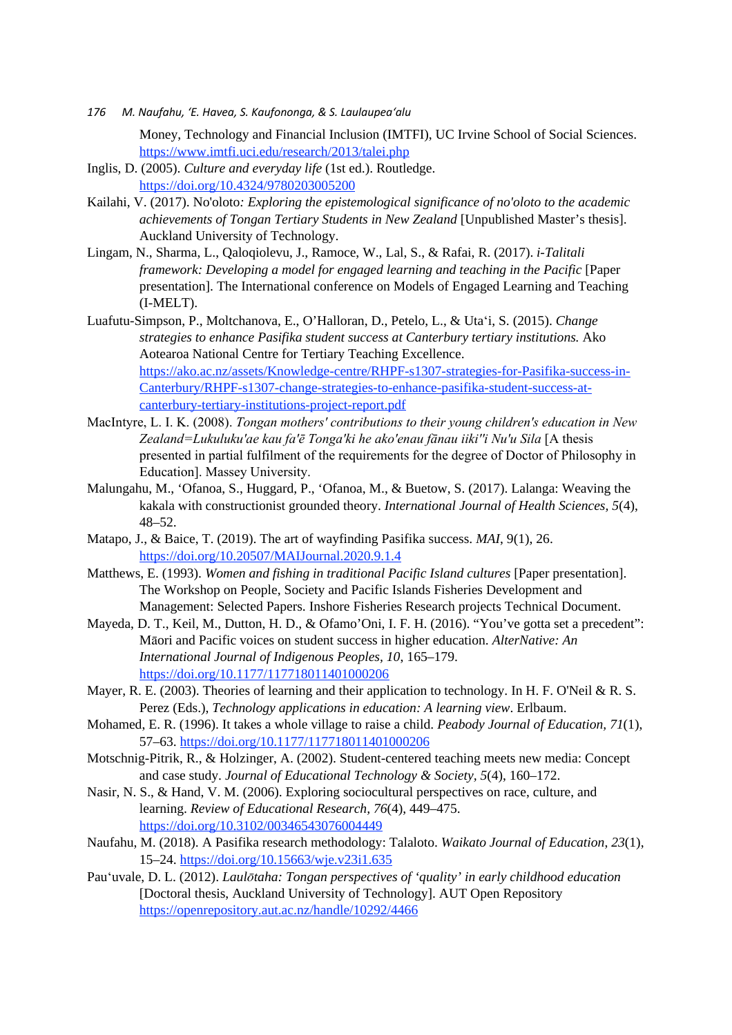Money, Technology and Financial Inclusion (IMTFI), UC Irvine School of Social Sciences. https://www.imtfi.uci.edu/research/2013/talei.php

- Inglis, D. (2005). *Culture and everyday life* (1st ed.). Routledge. https://doi.org/10.4324/9780203005200
- Kailahi, V. (2017). No'oloto*: Exploring the epistemological significance of no'oloto to the academic achievements of Tongan Tertiary Students in New Zealand* [Unpublished Master's thesis]. Auckland University of Technology.
- Lingam, N., Sharma, L., Qaloqiolevu, J., Ramoce, W., Lal, S., & Rafai, R. (2017). *i-Talitali framework: Developing a model for engaged learning and teaching in the Pacific* [Paper presentation]. The International conference on Models of Engaged Learning and Teaching (I-MELT).
- Luafutu-Simpson, P., Moltchanova, E., O'Halloran, D., Petelo, L., & Uta'i, S. (2015). *Change strategies to enhance Pasifika student success at Canterbury tertiary institutions.* Ako Aotearoa National Centre for Tertiary Teaching Excellence. https://ako.ac.nz/assets/Knowledge-centre/RHPF-s1307-strategies-for-Pasifika-success-in-Canterbury/RHPF-s1307-change-strategies-to-enhance-pasifika-student-success-atcanterbury-tertiary-institutions-project-report.pdf
- MacIntyre, L. I. K. (2008). *Tongan mothers' contributions to their young children's education in New Zealand=Lukuluku'ae kau fa'ē Tonga'ki he ako'enau fānau iiki''i Nu'u Sila* [A thesis presented in partial fulfilment of the requirements for the degree of Doctor of Philosophy in Education]. Massey University.
- Malungahu, M., 'Ofanoa, S., Huggard, P., 'Ofanoa, M., & Buetow, S. (2017). Lalanga: Weaving the kakala with constructionist grounded theory. *International Journal of Health Sciences, 5*(4), 48–52.
- Matapo, J., & Baice, T. (2019). The art of wayfinding Pasifika success. *MAI*, 9(1), 26. https://doi.org/10.20507/MAIJournal.2020.9.1.4
- Matthews, E. (1993). *Women and fishing in traditional Pacific Island cultures* [Paper presentation]. The Workshop on People, Society and Pacific Islands Fisheries Development and Management: Selected Papers. Inshore Fisheries Research projects Technical Document.
- Mayeda, D. T., Keil, M., Dutton, H. D., & Ofamo'Oni, I. F. H. (2016). "You've gotta set a precedent": Māori and Pacific voices on student success in higher education. *AlterNative: An International Journal of Indigenous Peoples, 10*, 165–179. https://doi.org/10.1177/117718011401000206
- Mayer, R. E. (2003). Theories of learning and their application to technology. In H. F. O'Neil & R. S. Perez (Eds.), *Technology applications in education: A learning view*. Erlbaum.
- Mohamed, E. R. (1996). It takes a whole village to raise a child. *Peabody Journal of Education, 71*(1), 57–63. https://doi.org/10.1177/117718011401000206
- Motschnig-Pitrik, R., & Holzinger, A. (2002). Student-centered teaching meets new media: Concept and case study. *Journal of Educational Technology & Society, 5*(4), 160–172.
- Nasir, N. S., & Hand, V. M. (2006). Exploring sociocultural perspectives on race, culture, and learning. *Review of Educational Research, 76*(4), 449–475. https://doi.org/10.3102/00346543076004449
- Naufahu, M. (2018). A Pasifika research methodology: Talaloto. *Waikato Journal of Education*, *23*(1), 15*–*24. https://doi.org/10.15663/wje.v23i1.635
- Pau'uvale, D. L. (2012). *Laulōtaha: Tongan perspectives of 'quality' in early childhood education* [Doctoral thesis, Auckland University of Technology]. AUT Open Repository https://openrepository.aut.ac.nz/handle/10292/4466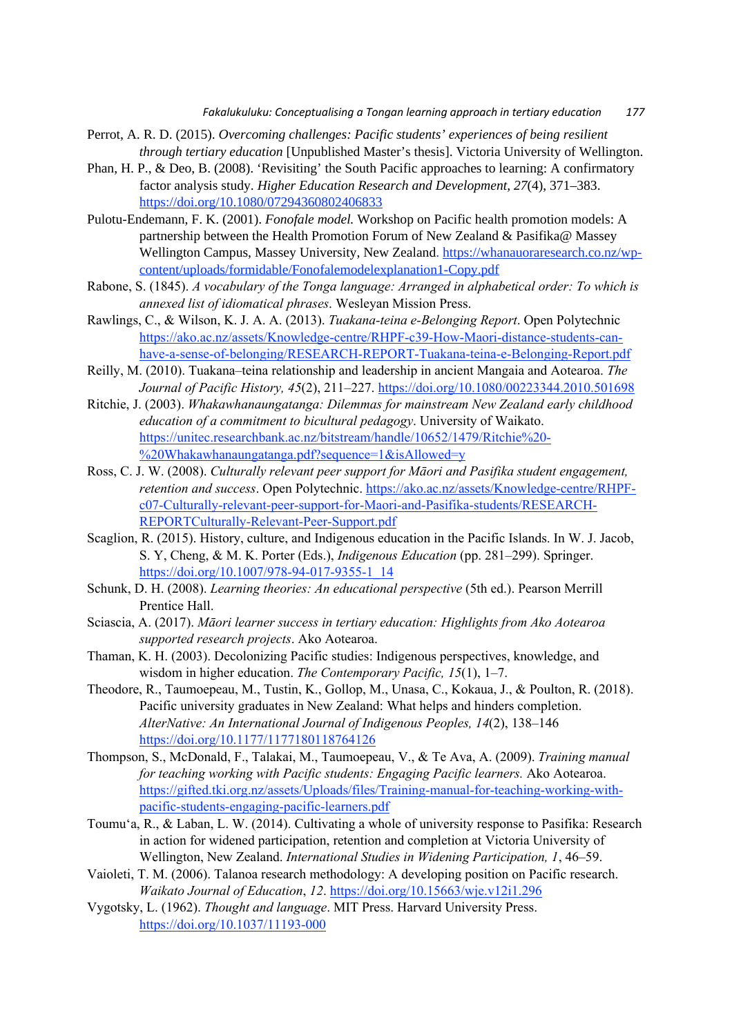- Perrot, A. R. D. (2015). *Overcoming challenges: Pacific students' experiences of being resilient through tertiary education* [Unpublished Master's thesis]. Victoria University of Wellington.
- Phan, H. P., & Deo, B. (2008). 'Revisiting' the South Pacific approaches to learning: A confirmatory factor analysis study. *Higher Education Research and Development, 27*(4), 371–383. https://doi.org/10.1080/07294360802406833
- Pulotu-Endemann, F. K. (2001). *Fonofale model.* Workshop on Pacific health promotion models: A partnership between the Health Promotion Forum of New Zealand & Pasifika@ Massey Wellington Campus, Massey University, New Zealand. https://whanauoraresearch.co.nz/wpcontent/uploads/formidable/Fonofalemodelexplanation1-Copy.pdf
- Rabone, S. (1845). *A vocabulary of the Tonga language: Arranged in alphabetical order: To which is annexed list of idiomatical phrases*. Wesleyan Mission Press.
- Rawlings, C., & Wilson, K. J. A. A. (2013). *Tuakana-teina e-Belonging Report*. Open Polytechnic https://ako.ac.nz/assets/Knowledge-centre/RHPF-c39-How-Maori-distance-students-canhave-a-sense-of-belonging/RESEARCH-REPORT-Tuakana-teina-e-Belonging-Report.pdf
- Reilly, M. (2010). Tuakana–teina relationship and leadership in ancient Mangaia and Aotearoa. *The Journal of Pacific History, 45*(2), 211–227. https://doi.org/10.1080/00223344.2010.501698
- Ritchie, J. (2003). *Whakawhanaungatanga: Dilemmas for mainstream New Zealand early childhood education of a commitment to bicultural pedagogy*. University of Waikato. https://unitec.researchbank.ac.nz/bitstream/handle/10652/1479/Ritchie%20- %20Whakawhanaungatanga.pdf?sequence=1&isAllowed=y
- Ross, C. J. W. (2008). *Culturally relevant peer support for Māori and Pasifika student engagement, retention and success*. Open Polytechnic. https://ako.ac.nz/assets/Knowledge-centre/RHPFc07-Culturally-relevant-peer-support-for-Maori-and-Pasifika-students/RESEARCH-REPORTCulturally-Relevant-Peer-Support.pdf
- Scaglion, R. (2015). History, culture, and Indigenous education in the Pacific Islands. In W. J. Jacob, S. Y, Cheng, & M. K. Porter (Eds.), *Indigenous Education* (pp. 281–299). Springer. https://doi.org/10.1007/978-94-017-9355-1\_14
- Schunk, D. H. (2008). *Learning theories: An educational perspective* (5th ed.). Pearson Merrill Prentice Hall.
- Sciascia, A. (2017). *Māori learner success in tertiary education: Highlights from Ako Aotearoa supported research projects*. Ako Aotearoa.
- Thaman, K. H. (2003). Decolonizing Pacific studies: Indigenous perspectives, knowledge, and wisdom in higher education. *The Contemporary Pacific, 15*(1), 1–7.
- Theodore, R., Taumoepeau, M., Tustin, K., Gollop, M., Unasa, C., Kokaua, J., & Poulton, R. (2018). Pacific university graduates in New Zealand: What helps and hinders completion. *AlterNative: An International Journal of Indigenous Peoples, 14*(2), 138–146 https://doi.org/10.1177/1177180118764126
- Thompson, S., McDonald, F., Talakai, M., Taumoepeau, V., & Te Ava, A. (2009). *Training manual for teaching working with Pacific students: Engaging Pacific learners.* Ako Aotearoa. https://gifted.tki.org.nz/assets/Uploads/files/Training-manual-for-teaching-working-withpacific-students-engaging-pacific-learners.pdf
- Toumu'a, R., & Laban, L. W. (2014). Cultivating a whole of university response to Pasifika: Research in action for widened participation, retention and completion at Victoria University of Wellington, New Zealand. *International Studies in Widening Participation, 1*, 46–59.
- Vaioleti, T. M. (2006). Talanoa research methodology: A developing position on Pacific research. *Waikato Journal of Education*, *12*. https://doi.org/10.15663/wje.v12i1.296
- Vygotsky, L. (1962). *Thought and language*. MIT Press. Harvard University Press. https://doi.org/10.1037/11193-000